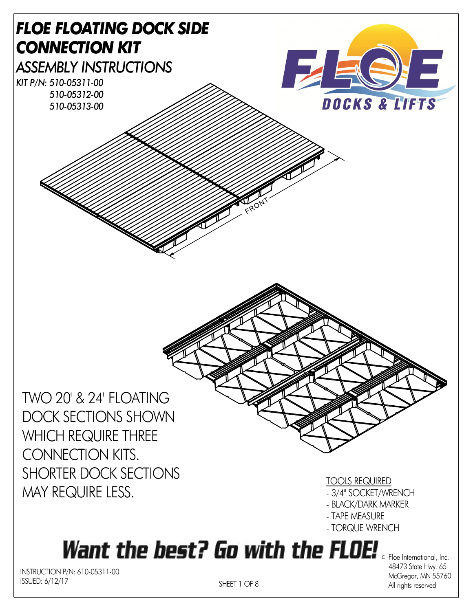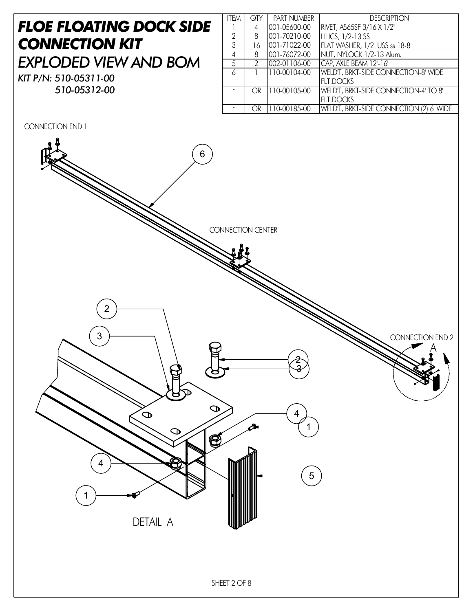#### *FLOE FLOATING DOCK SIDE CONNECTION KIT EXPLODED VIEW AND BOM KIT P/N: 510-05311-00*

*510-05312-00*

| <b>ITEM</b>   | QTY | <b>PART NUMBER</b>        | <b>DESCRIPTION</b>                     |
|---------------|-----|---------------------------|----------------------------------------|
|               | 4   | 001-05600-00              | RIVET, AS65SF 3/16 X 1/2"              |
| $\mathcal{P}$ | 8   | 001-70210-00              | <b>HHCS, 1/2-13 SS</b>                 |
| 3             | 16  | $\overline{001-71}022-00$ | FLAT WASHER, 1/2" USS ss 18-8          |
| 4             | 8   | 001-76072-00              | NUT, NYLOCK 1/2-13 Alum.               |
| .5            | 2   | 002-01106-00              | CAP, AXLE BEAM 12'-16'                 |
| 6             |     | 110-00104-00              | WELD'T, BRKT-SIDE CONNECTION-8' WIDE   |
|               |     |                           | <b>FLT.DOCKS</b>                       |
|               | OR  | $\sqrt{110}$ -00105-00    | WELD'T, BRKT-SIDE CONNECTION-4' TO 8'  |
|               |     |                           | <b>FLT.DOCKS</b>                       |
|               | ∩R  | 1110.00185.00             | WELD'T BRKT-SIDE CONNECTION (2) A WIDE |

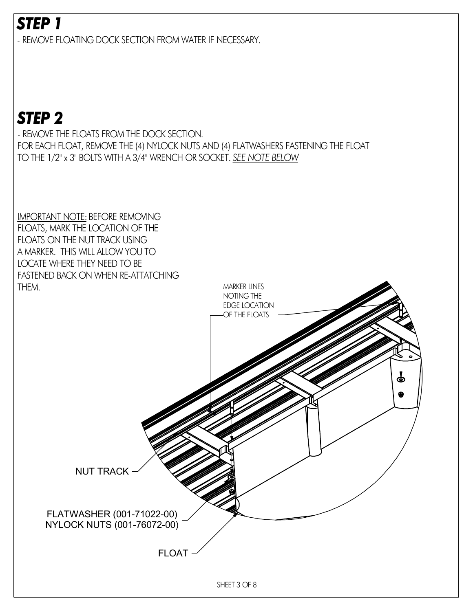- REMOVE FLOATING DOCK SECTION FROM WATER IF NECESSARY.

# *STEP 2*

- REMOVE THE FLOATS FROM THE DOCK SECTION. FOR EACH FLOAT, REMOVE THE (4) NYLOCK NUTS AND (4) FLATWASHERS FASTENING THE FLOAT TO THE 1/2" x 3" BOLTS WITH A 3/4" WRENCH OR SOCKET. *SEE NOTE BELOW*

IMPORTANT NOTE: BEFORE REMOVING FLOATS, MARK THE LOCATION OF THE FLOATS ON THE NUT TRACK USING A MARKER. THIS WILL ALLOW YOU TO LOCATE WHERE THEY NEED TO BE FASTENED BACK ON WHEN RE-ATTATCHING

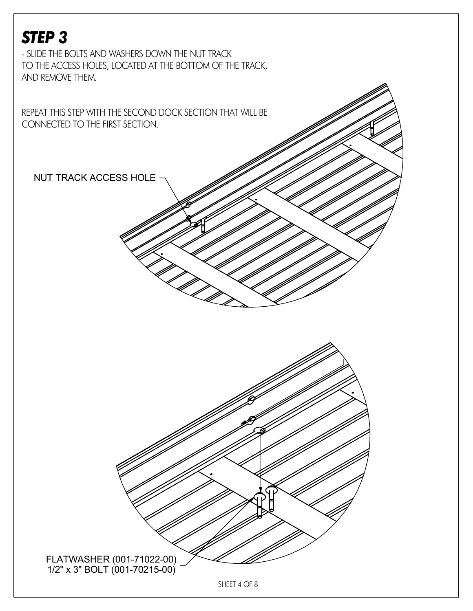- SLIDE THE BOLTS AND WASHERS DOWN THE NUT TRACK TO THE ACCESS HOLES, LOCATED AT THE BOTTOM OF THE TRACK, AND REMOVE THEM.

REPEAT THIS STEP WITH THE SECOND DOCK SECTION THAT WILL BE CONNECTED TO THE FIRST SECTION.

NUT TRACK ACCESS HOLE

FLATWASHER (001-71022-00) 1/2" x 3" BOLT (001-70215-00)

SHEET 4 OF 8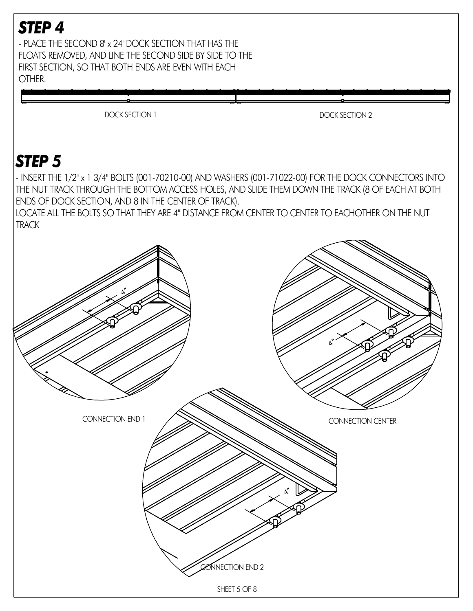- PLACE THE SECOND 8' x 24' DOCK SECTION THAT HAS THE FLOATS REMOVED, AND LINE THE SECOND SIDE BY SIDE TO THE FIRST SECTION, SO THAT BOTH ENDS ARE EVEN WITH EACH OTHER.

DOCK SECTION 1 DOCK SECTION 2

#### *STEP 5*

- INSERT THE 1/2" x 1 3/4" BOLTS (001-70210-00) AND WASHERS (001-71022-00) FOR THE DOCK CONNECTORS INTO THE NUT TRACK THROUGH THE BOTTOM ACCESS HOLES, AND SLIDE THEM DOWN THE TRACK (8 OF EACH AT BOTH ENDS OF DOCK SECTION, AND 8 IN THE CENTER OF TRACK).

LOCATE ALL THE BOLTS SO THAT THEY ARE 4" DISTANCE FROM CENTER TO CENTER TO EACHOTHER ON THE NUT **TRACK** 

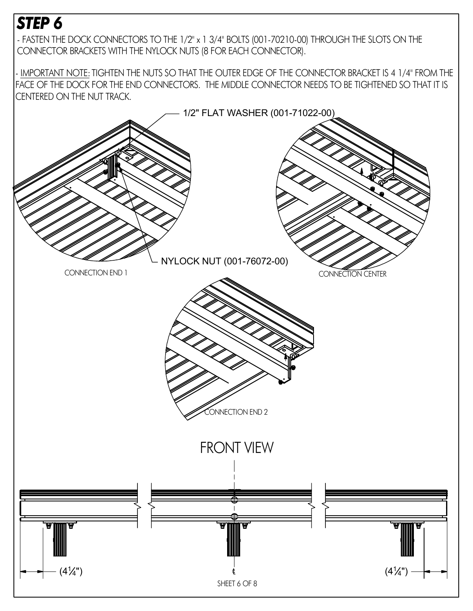- FASTEN THE DOCK CONNECTORS TO THE 1/2" x 1 3/4" BOLTS (001-70210-00) THROUGH THE SLOTS ON THE CONNECTOR BRACKETS WITH THE NYLOCK NUTS (8 FOR EACH CONNECTOR).

- IMPORTANT NOTE: TIGHTEN THE NUTS SO THAT THE OUTER EDGE OF THE CONNECTOR BRACKET IS 4 1/4" FROM THE FACE OF THE DOCK FOR THE END CONNECTORS. THE MIDDLE CONNECTOR NEEDS TO BE TIGHTENED SO THAT IT IS CENTERED ON THE NUT TRACK.

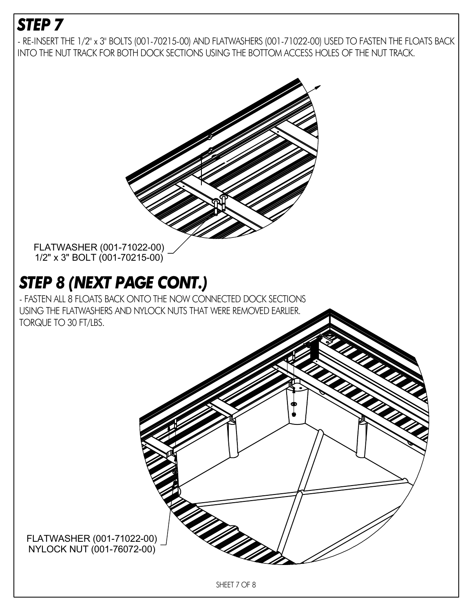- RE-INSERT THE 1/2" x 3" BOLTS (001-70215-00) AND FLATWASHERS (001-71022-00) USED TO FASTEN THE FLOATS BACK INTO THE NUT TRACK FOR BOTH DOCK SECTIONS USING THE BOTTOM ACCESS HOLES OF THE NUT TRACK.



FLATWASHER (001-71022-00) NYLOCK NUT (001-76072-00)

SHEET 7 OF 8